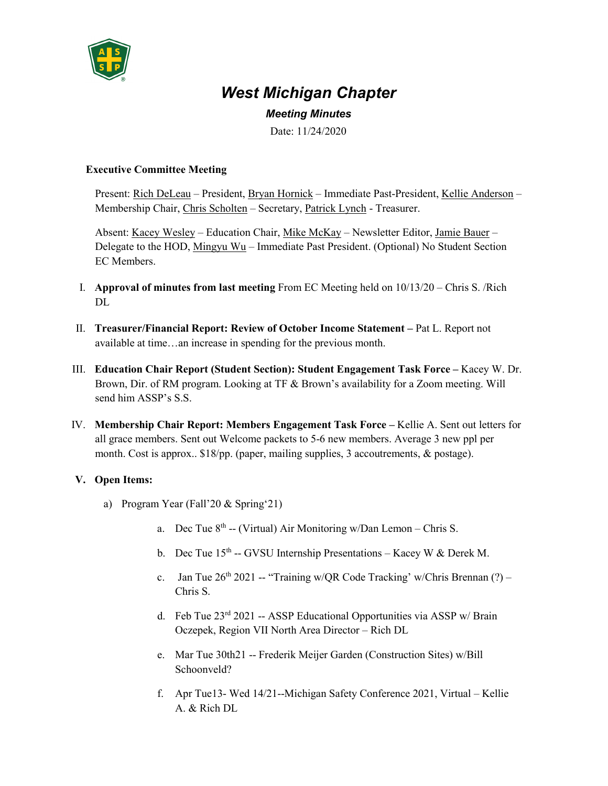

## *West Michigan Chapter*

*Meeting Minutes*

Date: 11/24/2020

## **Executive Committee Meeting**

Present: Rich DeLeau – President, Bryan Hornick – Immediate Past-President, Kellie Anderson – Membership Chair, Chris Scholten – Secretary, Patrick Lynch - Treasurer.

Absent: Kacey Wesley – Education Chair, Mike McKay – Newsletter Editor, Jamie Bauer – Delegate to the HOD, Mingyu Wu – Immediate Past President. (Optional) No Student Section EC Members.

- I. **Approval of minutes from last meeting** From EC Meeting held on 10/13/20 Chris S. /Rich  $DI$
- II. **Treasurer/Financial Report: Review of October Income Statement –** Pat L. Report not available at time…an increase in spending for the previous month.
- III. **Education Chair Report (Student Section): Student Engagement Task Force –** Kacey W. Dr. Brown, Dir. of RM program. Looking at TF & Brown's availability for a Zoom meeting. Will send him ASSP's S.S.
- IV. **Membership Chair Report: Members Engagement Task Force –** Kellie A. Sent out letters for all grace members. Sent out Welcome packets to 5-6 new members. Average 3 new ppl per month. Cost is approx.. \$18/pp. (paper, mailing supplies, 3 accoutrements, & postage).

## **V. Open Items:**

- a) Program Year (Fall'20 & Spring'21)
	- a. Dec Tue  $8<sup>th</sup>$  -- (Virtual) Air Monitoring w/Dan Lemon Chris S.
	- b. Dec Tue  $15<sup>th</sup>$  -- GVSU Internship Presentations Kacey W & Derek M.
	- c. Jan Tue  $26<sup>th</sup> 2021$  -- "Training w/QR Code Tracking' w/Chris Brennan (?) Chris S.
	- d. Feb Tue 23rd 2021 -- ASSP Educational Opportunities via ASSP w/ Brain Oczepek, Region VII North Area Director – Rich DL
	- e. Mar Tue 30th21 -- Frederik Meijer Garden (Construction Sites) w/Bill Schoonveld?
	- f. Apr Tue13- Wed 14/21--Michigan Safety Conference 2021, Virtual Kellie A. & Rich DL